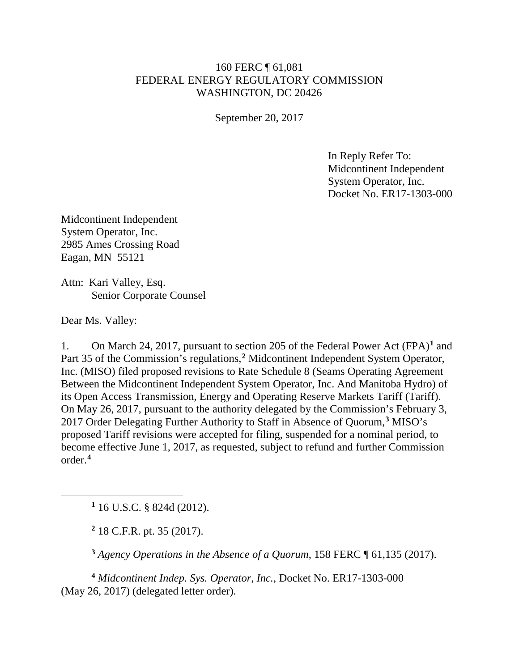## 160 FERC ¶ 61,081 FEDERAL ENERGY REGULATORY COMMISSION WASHINGTON, DC 20426

September 20, 2017

In Reply Refer To: Midcontinent Independent System Operator, Inc. Docket No. ER17-1303-000

Midcontinent Independent System Operator, Inc. 2985 Ames Crossing Road Eagan, MN 55121

Attn: Kari Valley, Esq. Senior Corporate Counsel

Dear Ms. Valley:

<span id="page-0-1"></span><span id="page-0-0"></span> $\overline{a}$ 

1. On March 24, 2017, pursuant to section 205 of the Federal Power Act (FPA)**[1](#page-0-0)** and Part 35 of the Commission's regulations,<sup>[2](#page-0-1)</sup> Midcontinent Independent System Operator, Inc. (MISO) filed proposed revisions to Rate Schedule 8 (Seams Operating Agreement Between the Midcontinent Independent System Operator, Inc. And Manitoba Hydro) of its Open Access Transmission, Energy and Operating Reserve Markets Tariff (Tariff). On May 26, 2017, pursuant to the authority delegated by the Commission's February 3, 2017 Order Delegating Further Authority to Staff in Absence of Quorum,**[3](#page-0-2)** MISO's proposed Tariff revisions were accepted for filing, suspended for a nominal period, to become effective June 1, 2017, as requested, subject to refund and further Commission order.**[4](#page-0-3)**

**<sup>1</sup>** 16 U.S.C. § 824d (2012).

**<sup>2</sup>** 18 C.F.R. pt. 35 (2017).

**<sup>3</sup>** *Agency Operations in the Absence of a Quorum*, 158 FERC ¶ 61,135 (2017).

<span id="page-0-3"></span><span id="page-0-2"></span>**<sup>4</sup>** *Midcontinent Indep. Sys. Operator, Inc.*, Docket No. ER17-1303-000 (May 26, 2017) (delegated letter order).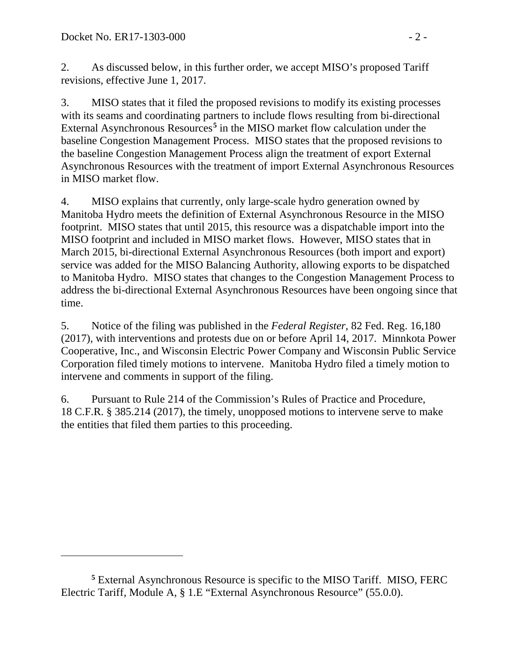$\overline{a}$ 

2. As discussed below, in this further order, we accept MISO's proposed Tariff revisions, effective June 1, 2017.

3. MISO states that it filed the proposed revisions to modify its existing processes with its seams and coordinating partners to include flows resulting from bi-directional External Asynchronous Resources**[5](#page-1-0)** in the MISO market flow calculation under the baseline Congestion Management Process. MISO states that the proposed revisions to the baseline Congestion Management Process align the treatment of export External Asynchronous Resources with the treatment of import External Asynchronous Resources in MISO market flow.

4. MISO explains that currently, only large-scale hydro generation owned by Manitoba Hydro meets the definition of External Asynchronous Resource in the MISO footprint. MISO states that until 2015, this resource was a dispatchable import into the MISO footprint and included in MISO market flows. However, MISO states that in March 2015, bi-directional External Asynchronous Resources (both import and export) service was added for the MISO Balancing Authority, allowing exports to be dispatched to Manitoba Hydro. MISO states that changes to the Congestion Management Process to address the bi-directional External Asynchronous Resources have been ongoing since that time.

5. Notice of the filing was published in the *Federal Register*, 82 Fed. Reg. 16,180 (2017), with interventions and protests due on or before April 14, 2017. Minnkota Power Cooperative, Inc., and Wisconsin Electric Power Company and Wisconsin Public Service Corporation filed timely motions to intervene. Manitoba Hydro filed a timely motion to intervene and comments in support of the filing.

6. Pursuant to Rule 214 of the Commission's Rules of Practice and Procedure, 18 C.F.R. § 385.214 (2017), the timely, unopposed motions to intervene serve to make the entities that filed them parties to this proceeding.

<span id="page-1-0"></span>**<sup>5</sup>** External Asynchronous Resource is specific to the MISO Tariff. MISO, FERC Electric Tariff, Module A, § 1.E "External Asynchronous Resource" (55.0.0).